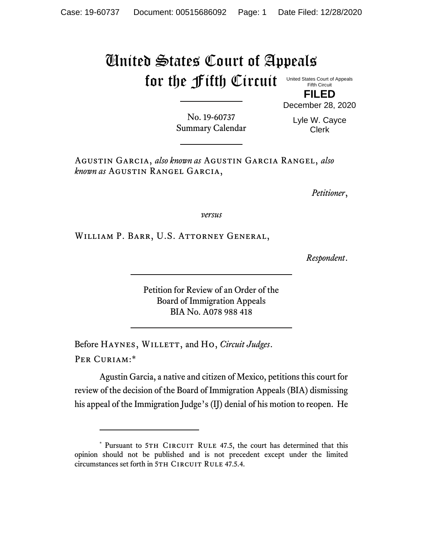## United States Court of Appeals for the Fifth Circuit

United States Court of Appeals Fifth Circuit

**FILED** December 28, 2020

No. 19-60737 Summary Calendar

Lyle W. Cayce Clerk

Agustin Garcia, *also known as* Agustin Garcia Rangel, *also known as* Agustin Rangel Garcia,

*Petitioner*,

*versus*

William P. Barr, U.S. Attorney General,

*Respondent*.

Petition for Review of an Order of the Board of Immigration Appeals BIA No. A078 988 418

Before HAYNES, WILLETT, and Ho, *Circuit Judges*. Per Curiam:\*

Agustin Garcia, a native and citizen of Mexico, petitions this court for review of the decision of the Board of Immigration Appeals (BIA) dismissing his appeal of the Immigration Judge's (IJ) denial of his motion to reopen. He

<sup>\*</sup> Pursuant to 5TH CIRCUIT RULE 47.5, the court has determined that this opinion should not be published and is not precedent except under the limited circumstances set forth in 5TH CIRCUIT RULE 47.5.4.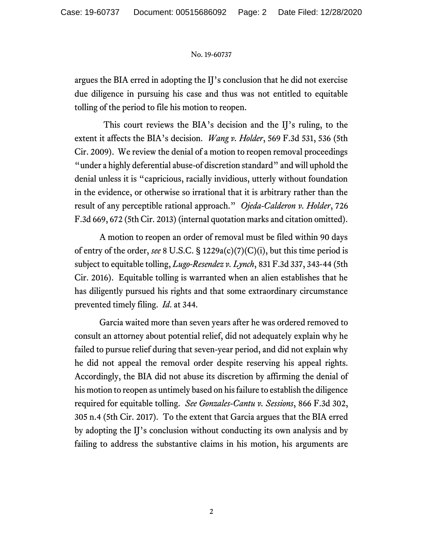## No. 19-60737

argues the BIA erred in adopting the IJ's conclusion that he did not exercise due diligence in pursuing his case and thus was not entitled to equitable tolling of the period to file his motion to reopen.

This court reviews the BIA's decision and the IJ's ruling, to the extent it affects the BIA's decision. *Wang v. Holder*, 569 F.3d 531, 536 (5th Cir. 2009). We review the denial of a motion to reopen removal proceedings "under a highly deferential abuse-of discretion standard" and will uphold the denial unless it is "capricious, racially invidious, utterly without foundation in the evidence, or otherwise so irrational that it is arbitrary rather than the result of any perceptible rational approach." *Ojeda-Calderon v. Holder*, 726 F.3d 669, 672 (5th Cir. 2013) (internal quotation marks and citation omitted).

A motion to reopen an order of removal must be filed within 90 days of entry of the order, *see* 8 U.S.C. § 1229a(c)(7)(C)(i), but this time period is subject to equitable tolling, *Lugo-Resendez v. Lynch*, 831 F.3d 337, 343-44 (5th Cir. 2016). Equitable tolling is warranted when an alien establishes that he has diligently pursued his rights and that some extraordinary circumstance prevented timely filing. *Id*. at 344.

Garcia waited more than seven years after he was ordered removed to consult an attorney about potential relief, did not adequately explain why he failed to pursue relief during that seven-year period, and did not explain why he did not appeal the removal order despite reserving his appeal rights. Accordingly, the BIA did not abuse its discretion by affirming the denial of his motion to reopen as untimely based on his failure to establish the diligence required for equitable tolling. *See Gonzales-Cantu v. Sessions*, 866 F.3d 302, 305 n.4 (5th Cir. 2017). To the extent that Garcia argues that the BIA erred by adopting the IJ's conclusion without conducting its own analysis and by failing to address the substantive claims in his motion, his arguments are